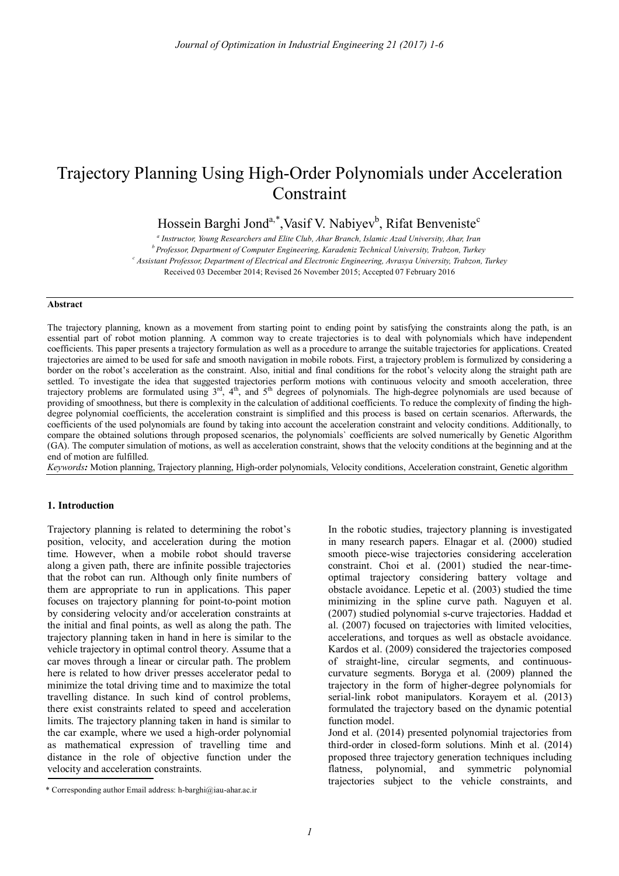# Trajectory Planning Using High-Order Polynomials under Acceleration Constraint

Hossein Barghi Jond<sup>a,\*</sup>,Vasif V. Nabiyev<sup>b</sup>, Rifat Benveniste<sup>c</sup>

*a Instructor, Young Researchers and Elite Club, Ahar Branch, Islamic Azad University, Ahar, Iran*

*<sup>b</sup>Professor, Department of Computer Engineering, Karadeniz Technical University, Trabzon, Turkey <sup>c</sup> Assistant Professor, Department of Electrical and Electronic Engineering, Avrasya University, Trabzon, Turkey*

Received 03 December 2014; Revised 26 November 2015; Accepted 07 February 2016

#### **Abstract**

The trajectory planning, known as a movement from starting point to ending point by satisfying the constraints along the path, is an essential part of robot motion planning. A common way to create trajectories is to deal with polynomials which have independent coefficients. This paper presents a trajectory formulation as well as a procedure to arrange the suitable trajectories for applications. Created trajectories are aimed to be used for safe and smooth navigation in mobile robots. First, a trajectory problem is formulized by considering a border on the robot's acceleration as the constraint. Also, initial and final conditions for the robot's velocity along the straight path are settled. To investigate the idea that suggested trajectories perform motions with continuous velocity and smooth acceleration, three trajectory problems are formulated using  $3<sup>rd</sup>$ ,  $4<sup>th</sup>$ , and  $5<sup>th</sup>$  degrees of polynomials. The high-degree polynomials are used because of providing of smoothness, but there is complexity in the calculation of additional coefficients. To reduce the complexity of finding the highdegree polynomial coefficients, the acceleration constraint is simplified and this process is based on certain scenarios. Afterwards, the coefficients of the used polynomials are found by taking into account the acceleration constraint and velocity conditions. Additionally, to compare the obtained solutions through proposed scenarios, the polynomials` coefficients are solved numerically by Genetic Algorithm (GA). The computer simulation of motions, as well as acceleration constraint, shows that the velocity conditions at the beginning and at the end of motion are fulfilled.

*Keywords:* Motion planning, Trajectory planning, High-order polynomials, Velocity conditions, Acceleration constraint, Genetic algorithm

## **1. Introduction**

Trajectory planning is related to determining the robot's position, velocity, and acceleration during the motion time. However, when a mobile robot should traverse along a given path, there are infinite possible trajectories that the robot can run. Although only finite numbers of them are appropriate to run in applications. This paper focuses on trajectory planning for point-to-point motion by considering velocity and/or acceleration constraints at the initial and final points, as well as along the path. The trajectory planning taken in hand in here is similar to the vehicle trajectory in optimal control theory. Assume that a car moves through a linear or circular path. The problem here is related to how driver presses accelerator pedal to minimize the total driving time and to maximize the total travelling distance. In such kind of control problems, there exist constraints related to speed and acceleration limits. The trajectory planning taken in hand is similar to the car example, where we used a high-order polynomial as mathematical expression of travelling time and distance in the role of objective function under the velocity and acceleration constraints.

In the robotic studies, trajectory planning is investigated in many research papers. Elnagar et al. (2000) studied smooth piece-wise trajectories considering acceleration constraint. Choi et al. (2001) studied the near-timeoptimal trajectory considering battery voltage and obstacle avoidance. Lepetic et al. (2003) studied the time minimizing in the spline curve path. Naguyen et al. (2007) studied polynomial s-curve trajectories. Haddad et al. (2007) focused on trajectories with limited velocities, accelerations, and torques as well as obstacle avoidance. Kardos et al. (2009) considered the trajectories composed of straight-line, circular segments, and continuouscurvature segments. Boryga et al. (2009) planned the trajectory in the form of higher-degree polynomials for serial-link robot manipulators. Korayem et al. (2013) formulated the trajectory based on the dynamic potential function model.

Jond et al. (2014) presented polynomial trajectories from third-order in closed-form solutions. Minh et al. (2014) proposed three trajectory generation techniques including flatness, polynomial, and symmetric polynomial trajectories subject to the vehicle constraints, and

<sup>\*</sup> Corresponding author Email address: h-barghi@iau-ahar.ac.ir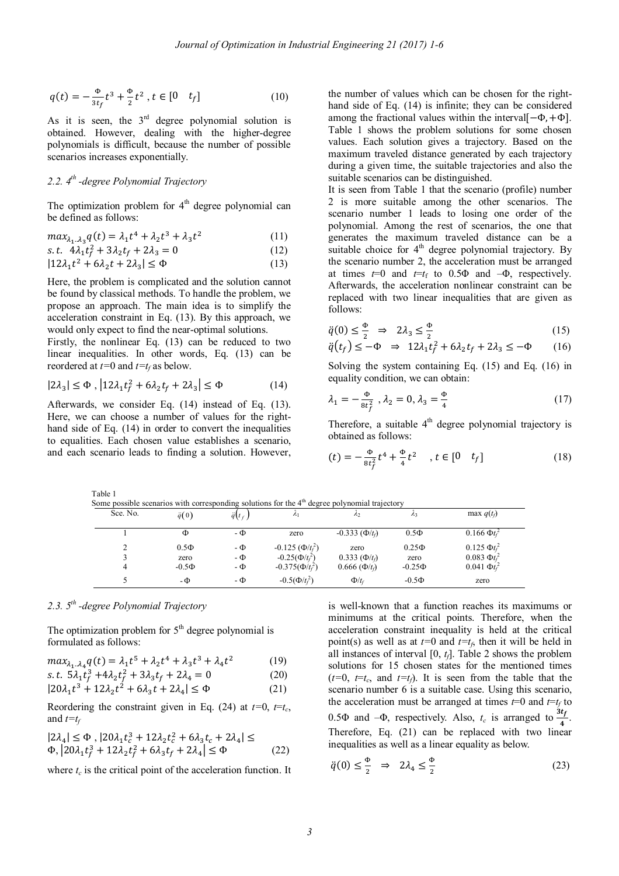$$
q(t) = -\frac{\Phi}{3t_f}t^3 + \frac{\Phi}{2}t^2, t \in [0 \quad t_f]
$$
 (10)

As it is seen, the  $3<sup>rd</sup>$  degree polynomial solution is obtained. However, dealing with the higher-degree polynomials is difficult, because the number of possible scenarios increases exponentially.

## *2.2. 4 th -degree Polynomial Trajectory*

The optimization problem for  $4<sup>th</sup>$  degree polynomial can be defined as follows:

$$
max_{\lambda_1 \dots \lambda_3} q(t) = \lambda_1 t^4 + \lambda_2 t^3 + \lambda_3 t^2 \tag{11}
$$

s.t. 
$$
4\lambda_1 t_f^2 + 3\lambda_2 t_f + 2\lambda_3 = 0
$$
 (12)

$$
|12\lambda_1 t^2 + 6\lambda_2 t + 2\lambda_3| \le \Phi \tag{13}
$$

Here, the problem is complicated and the solution cannot be found by classical methods. To handle the problem, we propose an approach. The main idea is to simplify the acceleration constraint in Eq. (13). By this approach, we would only expect to find the near-optimal solutions.

Firstly, the nonlinear Eq. (13) can be reduced to two linear inequalities. In other words, Eq. (13) can be reordered at *t=*0 and *t=t<sup>f</sup>* as below.

$$
|2\lambda_3| \le \Phi, \left| 12\lambda_1 t_f^2 + 6\lambda_2 t_f + 2\lambda_3 \right| \le \Phi \tag{14}
$$

Afterwards, we consider Eq. (14) instead of Eq. (13). Here, we can choose a number of values for the righthand side of Eq. (14) in order to convert the inequalities to equalities. Each chosen value establishes a scenario, and each scenario leads to finding a solution. However, the number of values which can be chosen for the righthand side of Eq. (14) is infinite; they can be considered among the fractional values within the interval $[-\Phi, +\Phi]$ . Table 1 shows the problem solutions for some chosen values. Each solution gives a trajectory. Based on the maximum traveled distance generated by each trajectory during a given time, the suitable trajectories and also the suitable scenarios can be distinguished.

It is seen from Table 1 that the scenario (profile) number 2 is more suitable among the other scenarios. The scenario number 1 leads to losing one order of the polynomial. Among the rest of scenarios, the one that generates the maximum traveled distance can be a suitable choice for 4<sup>th</sup> degree polynomial trajectory. By the scenario number 2, the acceleration must be arranged at times  $t=0$  and  $t=t_f$  to 0.5 $\Phi$  and  $-\Phi$ , respectively. Afterwards, the acceleration nonlinear constraint can be replaced with two linear inequalities that are given as follows:

$$
\ddot{q}(0) \le \frac{\Phi}{2} \implies 2\lambda_3 \le \frac{\Phi}{2}
$$
\n(15)

$$
\ddot{q}(t_f) \le -\Phi \quad \Rightarrow \quad 12\lambda_1 t_f^2 + 6\lambda_2 t_f + 2\lambda_3 \le -\Phi \tag{16}
$$

Solving the system containing Eq. (15) and Eq. (16) in equality condition, we can obtain:

$$
\lambda_1 = -\frac{\Phi}{8t_f^2}, \lambda_2 = 0, \lambda_3 = \frac{\Phi}{4}
$$
 (17)

Therefore, a suitable  $4<sup>th</sup>$  degree polynomial trajectory is obtained as follows:

$$
(t) = -\frac{\Phi}{8t_f^2}t^4 + \frac{\Phi}{4}t^2, \quad t \in [0 \quad t_f]
$$
 (18)

2

2

2

2

| Some possible scenarios with corresponding solutions for the $4th$ degree polynomial trajectory |               |                 |                           |                         |             |                     |  |  |  |  |  |
|-------------------------------------------------------------------------------------------------|---------------|-----------------|---------------------------|-------------------------|-------------|---------------------|--|--|--|--|--|
| Sce. No.                                                                                        | $\ddot{q}(0)$ | $\ddot{q}(t_f)$ | $\lambda_1$               | $\mathcal{L}$           | Λз          | max $q(t_f)$        |  |  |  |  |  |
|                                                                                                 | Ф             | - Ф             | zero                      | $-0.333$ ( $\Phi/t_0$ ) | $0.5\Phi$   | $0.166 \, \Phi t_i$ |  |  |  |  |  |
|                                                                                                 | $0.5\Phi$     | $-\Phi$         | $-0.125$ ( $\Phi/t_f^2$ ) | zero                    | $0.25\Phi$  | $0.125 \Phi t_f$    |  |  |  |  |  |
|                                                                                                 | zero          | $-\Phi$         | $-0.25(\Phi/t_f^2)$       | $0.333~(\Phi/t_0)$      | zero        | $0.083 \Phi_{t}$    |  |  |  |  |  |
|                                                                                                 | $-0.5\Phi$    | $-\Phi$         | $-0.375(\Phi/t_f^2)$      | $0.666~(\Phi/t_f)$      | $-0.25\Phi$ | $0.041 \Phi t_t$    |  |  |  |  |  |

## *2.3. 5 th -degree Polynomial Trajectory*

The optimization problem for  $5<sup>th</sup>$  degree polynomial is formulated as follows:

5 -  $\Phi$  -  $\Phi$  -  $0.5(\Phi/t_f^2)$ 

$$
max_{\lambda_1 \dots \lambda_4} q(t) = \lambda_1 t^5 + \lambda_2 t^4 + \lambda_3 t^3 + \lambda_4 t^2 \tag{19}
$$

s.t. 
$$
5\lambda_1 t_f^3 + 4\lambda_2 t_f^2 + 3\lambda_3 t_f + 2\lambda_4 = 0
$$
 (20)

$$
|20\lambda_1 t^3 + 12\lambda_2 t^2 + 6\lambda_3 t + 2\lambda_4| \le \Phi \tag{21}
$$

Reordering the constraint given in Eq. (24) at  $t=0$ ,  $t=t_c$ , and *t=t<sup>f</sup>*

$$
|2\lambda_4| \le \Phi_1 |20\lambda_1 t_c^3 + 12\lambda_2 t_c^2 + 6\lambda_3 t_c + 2\lambda_4| \le
$$
  
 
$$
\Phi_1 |20\lambda_1 t_f^3 + 12\lambda_2 t_f^2 + 6\lambda_3 t_f + 2\lambda_4| \le \Phi
$$
 (22)

where  $t_c$  is the critical point of the acceleration function. It

is well-known that a function reaches its maximums or minimums at the critical points. Therefore, when the acceleration constraint inequality is held at the critical point(s) as well as at  $t=0$  and  $t=t_f$ , then it will be held in all instances of interval [0, *tf*]. Table 2 shows the problem solutions for 15 chosen states for the mentioned times  $(t=0, t=t_c,$  and  $t=t_f$ ). It is seen from the table that the scenario number 6 is a suitable case. Using this scenario, the acceleration must be arranged at times  $t=0$  and  $t=t_f$  to 0.5 $\Phi$  and  $-\Phi$ , respectively. Also,  $t_c$  is arranged to  $\frac{3t_f}{4}$ . Therefore, Eq. (21) can be replaced with two linear inequalities as well as a linear equality as below.

 $\Phi/t_f$  -0.5 $\Phi$  zero

$$
\ddot{q}(0) \le \frac{\Phi}{2} \quad \Rightarrow \quad 2\lambda_4 \le \frac{\Phi}{2} \tag{23}
$$